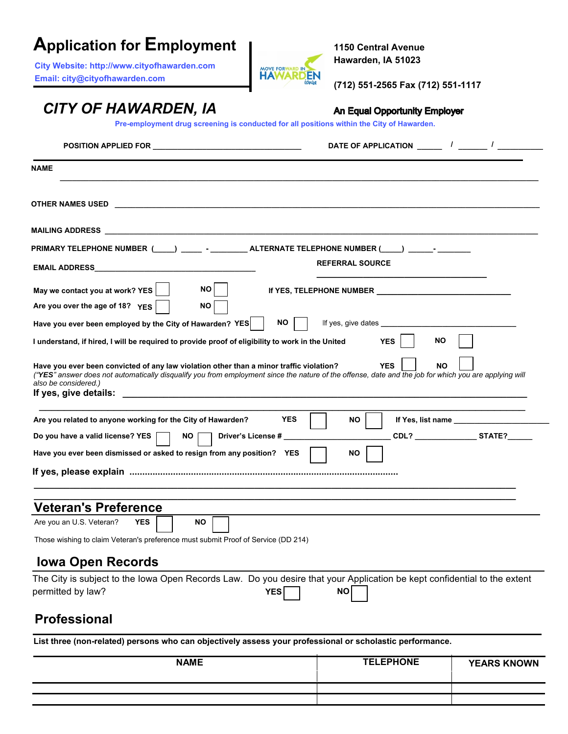# **Application for Employment**

**City Website: http:/[/www.cityofhawarden.com](http://www.gillettewy.gov/)  Email: city[@cityofhawarden.com](mailto:humr@gillettewy.gov)** 



**1150 Central Avenue Hawarden, IA 51023**

**(712) 551-2565 Fax (712) 551-1117**

An Equal Opportunity Employer

## *CITY OF HAWARDEN, IA*

**Pre-employment drug screening is conducted for all positions within the City of Hawarden.**

| <b>NAME</b>                                                                                                                                                                                                                                                              |                         |
|--------------------------------------------------------------------------------------------------------------------------------------------------------------------------------------------------------------------------------------------------------------------------|-------------------------|
|                                                                                                                                                                                                                                                                          |                         |
| MAILING ADDRESS AND THE RESIDENCE OF THE RESIDENCE OF THE RESIDENCE OF THE RESIDENCE OF THE RESIDENCE OF THE R                                                                                                                                                           |                         |
| PRIMARY TELEPHONE NUMBER(_____)_______ - __________ ALTERNATE TELEPHONE NUMBER (_____) _______- _________                                                                                                                                                                |                         |
| <b>EMAIL ADDRESS EXAMPLE AND SERVICE SERVICE SERVICE SERVICE SERVICE SERVICE SERVICE SERVICE SERVICE SERVICE SERVICE SERVICE SERVICE SERVICE SERVICE SERVICE SERVICE SERVICE SERVICE SERVICE SERVICE SERVICE SERVICE SERVICE SER</b>                                     | <b>REFERRAL SOURCE</b>  |
| May we contact you at work? YES<br>NO.<br>Are you over the age of 18? YES<br><b>NO</b>                                                                                                                                                                                   |                         |
| Have you ever been employed by the City of Hawarden? YES<br>NO.                                                                                                                                                                                                          | If yes, give dates      |
| I understand, if hired, I will be required to provide proof of eligibility to work in the United                                                                                                                                                                         | <b>YES</b><br>NO.       |
| Have you ever been convicted of any law violation other than a minor traffic violation?<br>("YES" answer does not automatically disqualify you from employment since the nature of the offense, date and the job for which you are applying will<br>also be considered.) | <b>YES</b><br><b>NO</b> |
| <b>YES</b><br>Are you related to anyone working for the City of Hawarden?                                                                                                                                                                                                | <b>NO</b>               |
| Do you have a valid license? YES  <br><b>Driver's License #</b><br>NO .                                                                                                                                                                                                  | CDL? STATE?             |
| Have you ever been dismissed or asked to resign from any position? YES                                                                                                                                                                                                   | NO.                     |
|                                                                                                                                                                                                                                                                          |                         |
|                                                                                                                                                                                                                                                                          |                         |
| <b>Veteran's Preference</b>                                                                                                                                                                                                                                              |                         |
| Are you an U.S. Veteran?<br><b>YES</b><br>NO.                                                                                                                                                                                                                            |                         |
| Those wishing to claim Veteran's preference must submit Proof of Service (DD 214)                                                                                                                                                                                        |                         |
| <b>Iowa Open Records</b>                                                                                                                                                                                                                                                 |                         |
| The City is subject to the Iowa Open Records Law. Do you desire that your Application be kept confidential to the extent<br>permitted by law?<br>YES                                                                                                                     | NO                      |
| <b>Professional</b>                                                                                                                                                                                                                                                      |                         |

**List three (non-related) persons who can objectively assess your professional or scholastic performance.**

| <b>NAME</b> | <b>TELEPHONE</b> | <b>YEARS KNOWN</b> |
|-------------|------------------|--------------------|
|             |                  |                    |
|             |                  |                    |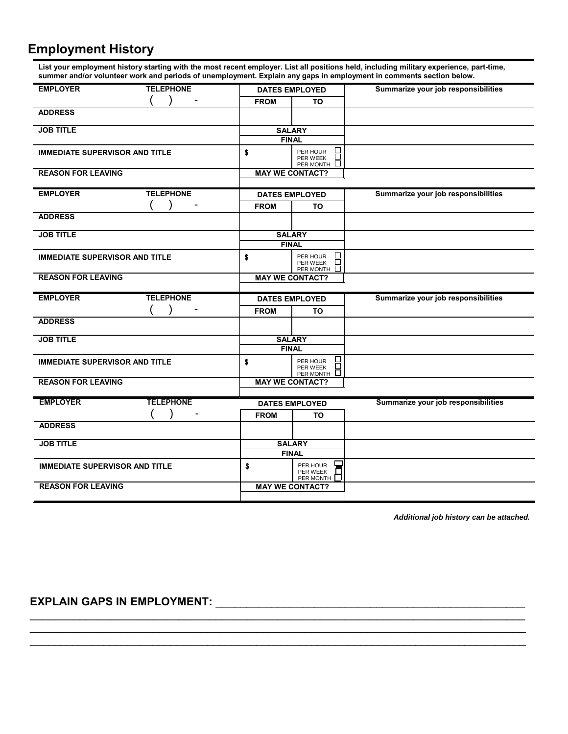### **Employment History**

**List your employment history starting with the most recent employer. List all positions held, including military experience, part-time, summer and/or volunteer work and periods of unemployment. Explain any gaps in employment in comments section below.**

| <b>EMPLOYER</b>                       | <b>TELEPHONE</b> | <b>DATES EMPLOYED</b> |                                                               | Summarize your job responsibilities |
|---------------------------------------|------------------|-----------------------|---------------------------------------------------------------|-------------------------------------|
|                                       |                  | <b>FROM</b>           | TO                                                            |                                     |
| <b>ADDRESS</b>                        |                  |                       |                                                               |                                     |
| <b>JOB TITLE</b>                      |                  | <b>SALARY</b>         |                                                               |                                     |
|                                       |                  | <b>FINAL</b>          |                                                               |                                     |
| <b>IMMEDIATE SUPERVISOR AND TITLE</b> |                  | \$                    | PER HOUR<br>PER WEEK<br>PER MONTH                             |                                     |
| <b>REASON FOR LEAVING</b>             |                  |                       | <b>MAY WE CONTACT?</b>                                        |                                     |
| <b>EMPLOYER</b>                       | <b>TELEPHONE</b> |                       | <b>DATES EMPLOYED</b>                                         | Summarize your job responsibilities |
|                                       |                  | <b>FROM</b>           | TO                                                            |                                     |
| <b>ADDRESS</b>                        |                  |                       |                                                               |                                     |
| <b>JOB TITLE</b>                      |                  |                       | <b>SALARY</b>                                                 |                                     |
|                                       |                  |                       | <b>FINAL</b>                                                  |                                     |
| <b>IMMEDIATE SUPERVISOR AND TITLE</b> |                  | \$                    | $\overline{\phantom{a}}$<br>PER HOUR<br>PER WEEK<br>PER MONTH |                                     |
| <b>REASON FOR LEAVING</b>             |                  |                       | <b>MAY WE CONTACT?</b>                                        |                                     |
|                                       |                  |                       |                                                               |                                     |
| <b>EMPLOYER</b>                       | <b>TELEPHONE</b> |                       | <b>DATES EMPLOYED</b>                                         | Summarize your job responsibilities |
|                                       |                  | <b>FROM</b>           | TO                                                            |                                     |
| <b>ADDRESS</b>                        |                  |                       |                                                               |                                     |
| <b>JOB TITLE</b>                      |                  |                       | <b>SALARY</b>                                                 |                                     |
|                                       |                  |                       | <b>FINAL</b>                                                  |                                     |
| <b>IMMEDIATE SUPERVISOR AND TITLE</b> |                  | \$                    | PER HOUR<br>П<br>PER WEEK                                     |                                     |
| <b>REASON FOR LEAVING</b>             |                  |                       | PER MONTH<br><b>MAY WE CONTACT?</b>                           |                                     |
| <b>EMPLOYER</b>                       | <b>TELEPHONE</b> |                       | <b>DATES EMPLOYED</b>                                         | Summarize your job responsibilities |
|                                       |                  | <b>FROM</b>           | TO                                                            |                                     |
| <b>ADDRESS</b>                        |                  |                       |                                                               |                                     |
| <b>JOB TITLE</b>                      |                  |                       | <b>SALARY</b>                                                 |                                     |
|                                       |                  |                       | <b>FINAL</b>                                                  |                                     |
| <b>IMMEDIATE SUPERVISOR AND TITLE</b> |                  | \$                    | ┕<br>PER HOUR<br>PER WEEK<br>PER MONTH                        |                                     |

\_\_\_\_\_\_\_\_\_\_\_\_\_\_\_\_\_\_\_\_\_\_\_\_\_\_\_\_\_\_\_\_\_\_\_\_\_\_\_\_\_\_\_\_\_\_\_\_\_\_\_\_\_\_\_\_\_\_\_\_\_\_\_\_\_\_\_\_\_\_\_\_\_\_\_\_\_\_\_\_ \_\_\_\_\_\_\_\_\_\_\_\_\_\_\_\_\_\_\_\_\_\_\_\_\_\_\_\_\_\_\_\_\_\_\_\_\_\_\_\_\_\_\_\_\_\_\_\_\_\_\_\_\_\_\_\_\_\_\_\_\_\_\_\_\_\_\_\_\_\_\_\_\_\_\_\_\_\_\_\_\_  $\mathcal{L}_\mathcal{L} = \{ \mathcal{L}_\mathcal{L} = \{ \mathcal{L}_\mathcal{L} = \{ \mathcal{L}_\mathcal{L} = \{ \mathcal{L}_\mathcal{L} = \{ \mathcal{L}_\mathcal{L} = \{ \mathcal{L}_\mathcal{L} = \{ \mathcal{L}_\mathcal{L} = \{ \mathcal{L}_\mathcal{L} = \{ \mathcal{L}_\mathcal{L} = \{ \mathcal{L}_\mathcal{L} = \{ \mathcal{L}_\mathcal{L} = \{ \mathcal{L}_\mathcal{L} = \{ \mathcal{L}_\mathcal{L} = \{ \mathcal{L}_\mathcal{$ 

*Additional job history can be attached.* 

#### **EXPLAIN GAPS IN EMPLOYMENT:** \_\_\_\_\_\_\_\_\_\_\_\_\_\_\_\_\_\_\_\_\_\_\_\_\_\_\_\_\_\_\_\_\_\_\_\_\_\_\_\_\_\_\_\_\_\_\_\_\_\_